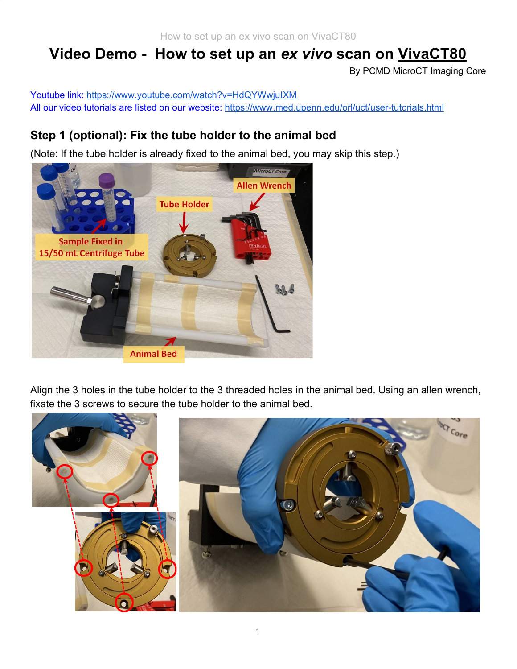# **Video Demo - How to set up an** *ex vivo* **scan on VivaCT80**

By PCMD MicroCT Imaging Core

Youtube link: <https://www.youtube.com/watch?v=HdQYWwjuIXM> All our video tutorials are listed on our website: <https://www.med.upenn.edu/orl/uct/user-tutorials.html>

### **Step 1 (optional): Fix the tube holder to the animal bed**

(Note: If the tube holder is already fixed to the animal bed, you may skip this step.)



Align the 3 holes in the tube holder to the 3 threaded holes in the animal bed. Using an allen wrench, fixate the 3 screws to secure the tube holder to the animal bed.

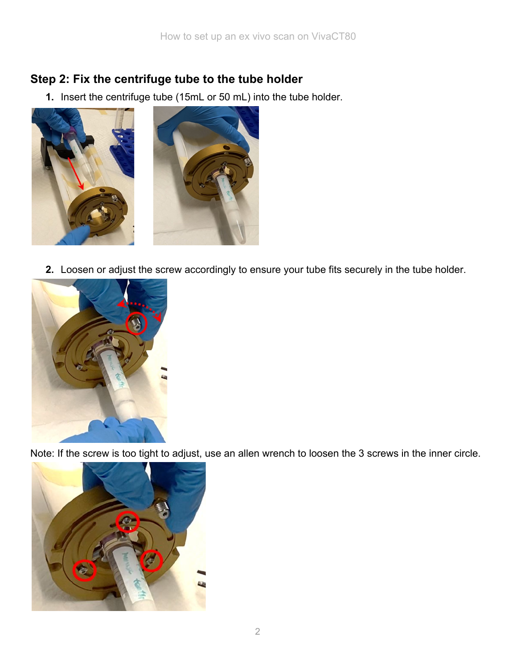### **Step 2: Fix the centrifuge tube to the tube holder**

**1.** Insert the centrifuge tube (15mL or 50 mL) into the tube holder.



**2.** Loosen or adjust the screw accordingly to ensure your tube fits securely in the tube holder.



Note: If the screw is too tight to adjust, use an allen wrench to loosen the 3 screws in the inner circle.

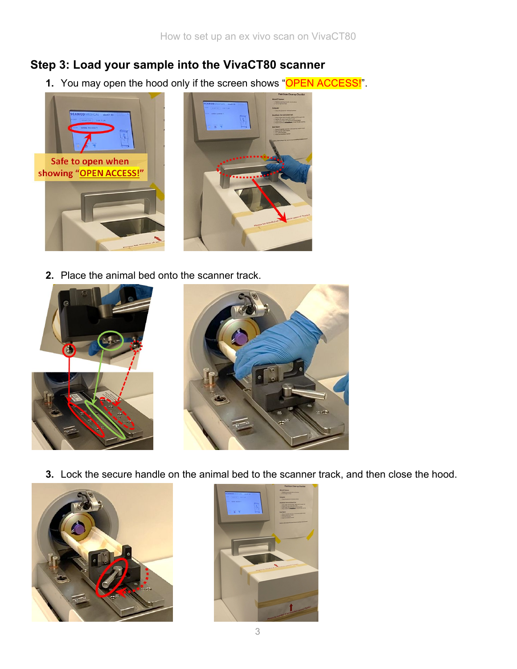#### **Step 3: Load your sample into the VivaCT80 scanner**

**1.** You may open the hood only if the screen shows "OPEN ACCESS!".



**2.** Place the animal bed onto the scanner track.





**3.** Lock the secure handle on the animal bed to the scanner track, and then close the hood.